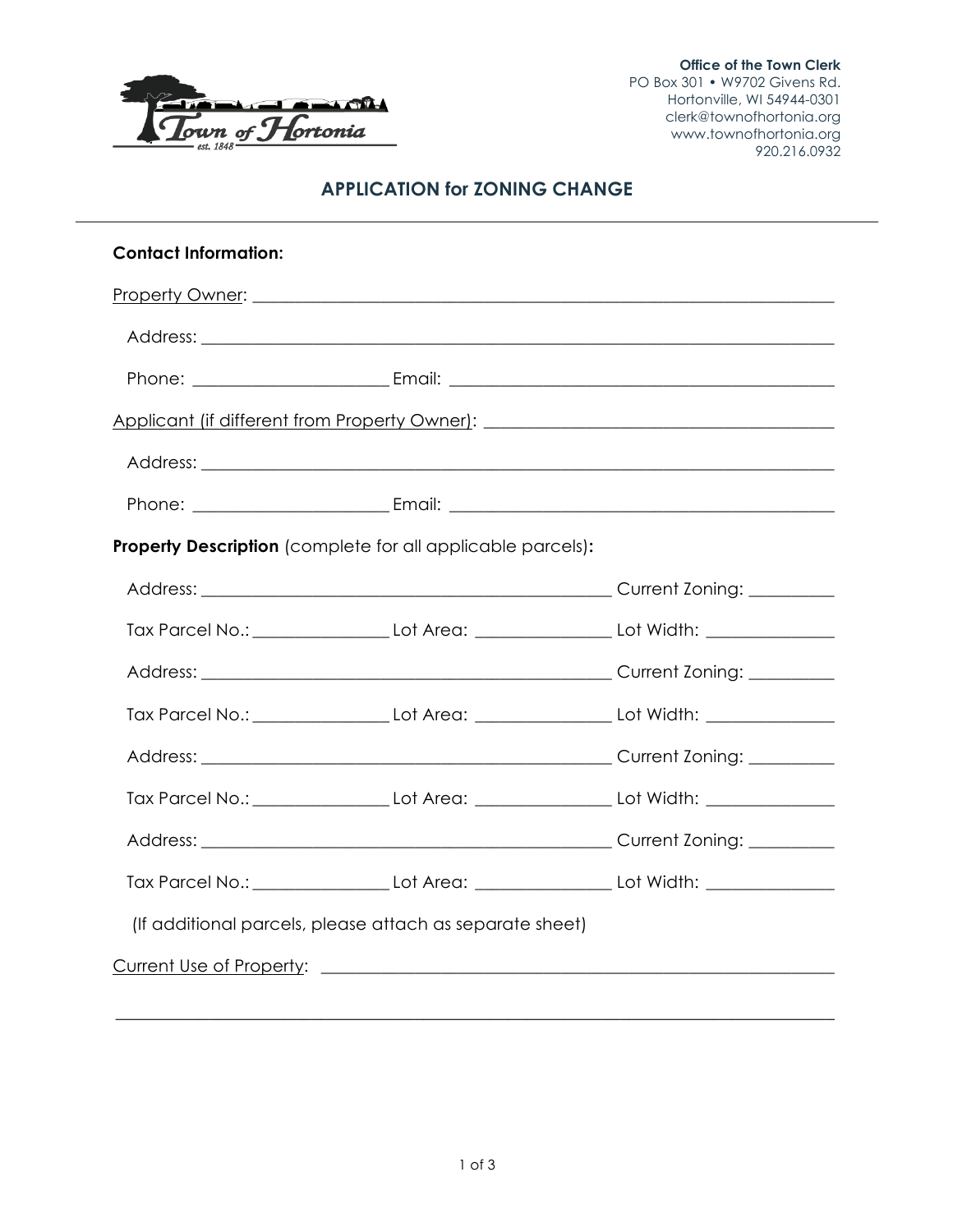

**Office of the Town Clerk** PO Box 301 • W9702 Givens Rd. Hortonville, WI 54944-0301 clerk@townofhortonia.org www.townofhortonia.org 920.216.0932

# **APPLICATION for ZONING CHANGE**

| <b>Contact Information:</b>                                        |  |                                                                                  |  |  |
|--------------------------------------------------------------------|--|----------------------------------------------------------------------------------|--|--|
|                                                                    |  |                                                                                  |  |  |
|                                                                    |  |                                                                                  |  |  |
|                                                                    |  |                                                                                  |  |  |
|                                                                    |  | Applicant (if different from Property Owner): __________________________________ |  |  |
|                                                                    |  |                                                                                  |  |  |
|                                                                    |  |                                                                                  |  |  |
| <b>Property Description</b> (complete for all applicable parcels): |  |                                                                                  |  |  |
|                                                                    |  |                                                                                  |  |  |
|                                                                    |  |                                                                                  |  |  |
|                                                                    |  |                                                                                  |  |  |
|                                                                    |  |                                                                                  |  |  |
|                                                                    |  |                                                                                  |  |  |
|                                                                    |  |                                                                                  |  |  |
|                                                                    |  |                                                                                  |  |  |
|                                                                    |  | Tax Parcel No.: Lot Area: Let Area: Lot Width:                                   |  |  |
| (If additional parcels, please attach as separate sheet)           |  |                                                                                  |  |  |
|                                                                    |  |                                                                                  |  |  |

\_\_\_\_\_\_\_\_\_\_\_\_\_\_\_\_\_\_\_\_\_\_\_\_\_\_\_\_\_\_\_\_\_\_\_\_\_\_\_\_\_\_\_\_\_\_\_\_\_\_\_\_\_\_\_\_\_\_\_\_\_\_\_\_\_\_\_\_\_\_\_\_\_\_\_\_\_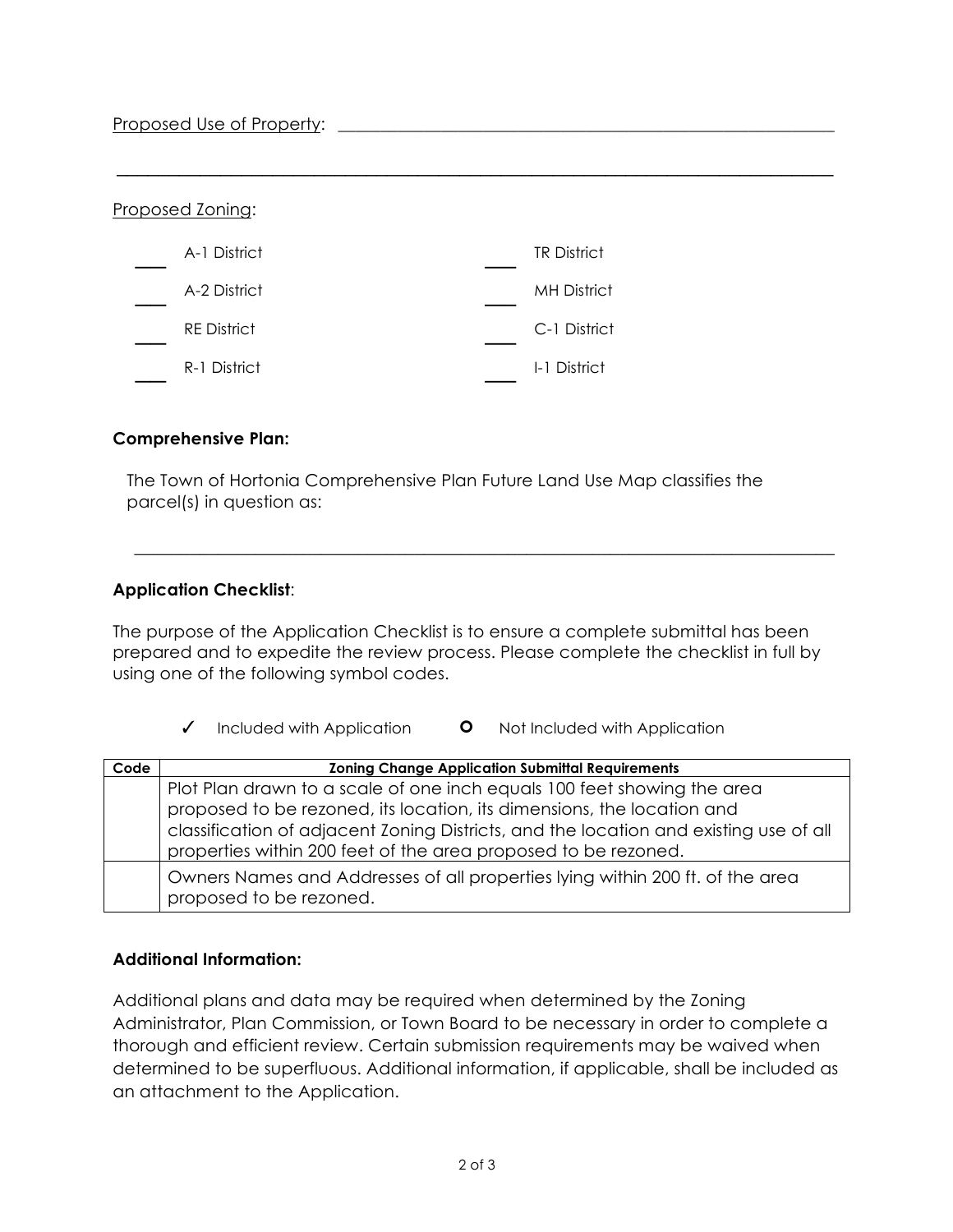#### Proposed Use of Property: \_\_\_\_\_\_\_\_\_\_\_\_\_\_\_\_\_\_\_\_\_\_\_\_\_\_\_\_\_\_\_\_\_\_\_\_\_\_\_\_\_\_\_\_\_\_\_\_\_\_\_\_\_\_\_\_\_\_

| Proposed Zoning:   |                    |
|--------------------|--------------------|
| A-1 District       | <b>TR District</b> |
| A-2 District       | <b>MH District</b> |
| <b>RE</b> District | C-1 District       |
| R-1 District       | I-1 District       |

#### **Comprehensive Plan:**

The Town of Hortonia Comprehensive Plan Future Land Use Map classifies the parcel(s) in question as:

 $\mathcal{L}_\text{max}$  and  $\mathcal{L}_\text{max}$  and  $\mathcal{L}_\text{max}$  and  $\mathcal{L}_\text{max}$  and  $\mathcal{L}_\text{max}$  and  $\mathcal{L}_\text{max}$ 

## **Application Checklist**:

The purpose of the Application Checklist is to ensure a complete submittal has been prepared and to expedite the review process. Please complete the checklist in full by using one of the following symbol codes.

\_\_\_\_\_\_\_\_\_\_\_\_\_\_\_\_\_\_\_\_\_\_\_\_\_\_\_\_\_\_\_\_\_\_\_\_\_\_\_\_\_\_\_\_\_\_\_\_\_\_\_\_\_\_\_\_\_\_\_\_\_\_\_\_\_\_\_\_\_\_\_\_\_\_\_

✓ Included with Application ! Not Included with Application

| Code | <b>Zoning Change Application Submittal Requirements</b>                                                                                                                                                                                                                                                      |
|------|--------------------------------------------------------------------------------------------------------------------------------------------------------------------------------------------------------------------------------------------------------------------------------------------------------------|
|      | Plot Plan drawn to a scale of one inch equals 100 feet showing the area<br>proposed to be rezoned, its location, its dimensions, the location and<br>classification of adjacent Zoning Districts, and the location and existing use of all<br>properties within 200 feet of the area proposed to be rezoned. |
|      | Owners Names and Addresses of all properties lying within 200 ft. of the area<br>proposed to be rezoned.                                                                                                                                                                                                     |

#### **Additional Information:**

Additional plans and data may be required when determined by the Zoning Administrator, Plan Commission, or Town Board to be necessary in order to complete a thorough and efficient review. Certain submission requirements may be waived when determined to be superfluous. Additional information, if applicable, shall be included as an attachment to the Application.